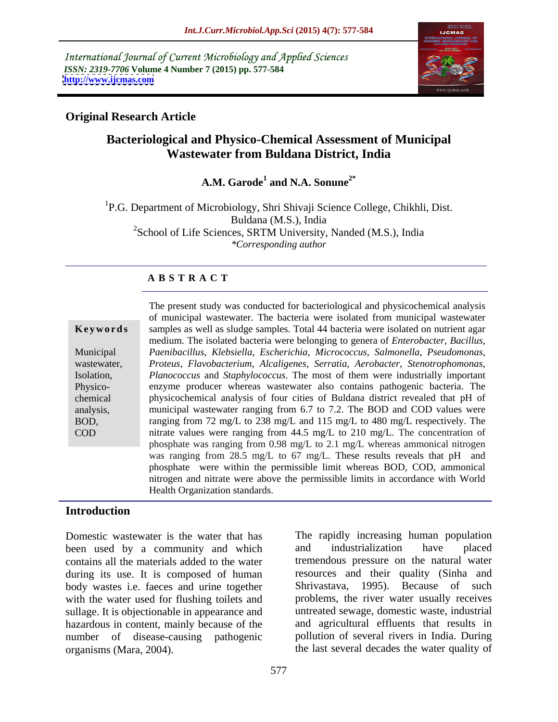International Journal of Current Microbiology and Applied Sciences *ISSN: 2319-7706* **Volume 4 Number 7 (2015) pp. 577-584 <http://www.ijcmas.com>**



## **Original Research Article**

## **Bacteriological and Physico-Chemical Assessment of Municipal Wastewater from Buldana District, India**

A.M. **Garode<sup>1</sup>** and N.A. Sonune<sup>2\*</sup> **and N.A. Sonune2\***

1P.G. Department of Microbiology, Shri Shivaji Science College, Chikhli, Dist. Buldana (M.S.), India <sup>2</sup>School of Life Sciences, SRTM University, Nanded (M.S.), India *\*Corresponding author*

### **A B S T R A C T**

| Keywords |
|----------|
|----------|

COD

The present study was conducted for bacteriological and physicochemical analysis of municipal wastewater. The bacteria were isolated from municipal wastewater samples as well as sludge samples. Total 44 bacteria were isolated on nutrient agar **Ke ywo rds** medium. The isolated bacteria were belonging to genera of *Enterobacter*, *Bacillus*, *Municipal Paenibacillus, Klebsiella, Escherichia, Micrococcus, Salmonella, Pseudomonas, Proteus, Flavobacterium*, *Alcaligenes*, *Serratia*, *Aerobacter*, *Stenotrophomonas*, wastewater, *Planococcus* and *Staphylococcus*. The most of them were industrially important Isolation, enzyme producer whereas wastewater also contains pathogenic bacteria. The Physico physicochemical analysis of four cities of Buldana district revealed that pH of chemical municipal wastewater ranging from 6.7 to 7.2. The BOD and COD values were analysis, ranging from 72 mg/L to 238 mg/L and 115 mg/L to 480 mg/L respectively. The BOD, nitrate values were ranging from 44.5 mg/L to 210 mg/L. The concentration of phosphate was ranging from 0.98 mg/L to 2.1 mg/L whereas ammonical nitrogen was ranging from 28.5 mg/L to 67 mg/L. These results reveals that pH and phosphate were within the permissible limit whereas BOD, COD, ammonical nitrogen and nitrate were above the permissible limits in accordance with World Health Organization standards.

## **Introduction**

Domestic wastewater is the water that has been used by a community and which and industrialization have placed contains all the materials added to the water during its use. It is composed of human body wastes i.e. faeces and urine together with the water used for flushing toilets and sullage. It is objectionable in appearance and hazardous in content, mainly because of the number of disease-causing pathogenic pollution of several rivers in India. During organisms (Mara, 2004). the last several decades the water quality of

The rapidly increasing human population and industrialization have placed tremendous pressure on the natural water resources and their quality (Sinha and Shrivastava, 1995). Because of such problems, the river water usually receives untreated sewage, domestic waste, industrial and agricultural effluents that results in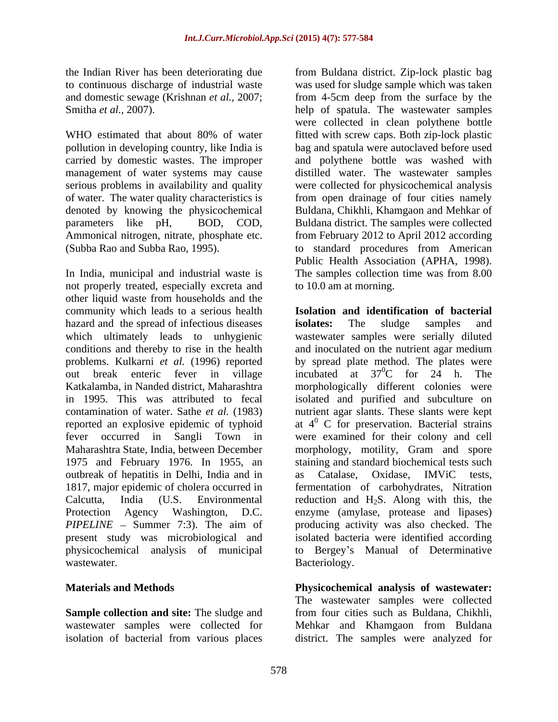and domestic sewage (Krishnan *et al.,* 2007;

denoted by knowing the physicochemical

In India, municipal and industrial waste is The samples collection time was from 8.00 not properly treated, especially excreta and other liquid waste from households and the community which leads to a serious health hazard and the spread of infectious diseases isolates: The sludge samples and conditions and thereby to rise in the health and inoculated on the nutrient agar medium out break enteric fever in village incubated at  $37^{\circ}$ C for 24 h. The reported an explosive epidemic of typhoid 1975 and February 1976. In 1955, an outbreak of hepatitis in Delhi, India and in as Catalase, Oxidase, IMViC tests, present study was microbiological and wastewater. Bacteriology.

**Sample collection and site:** The sludge and wastewater samples were collected for isolation of bacterial from various places

the Indian River has been deteriorating due from Buldana district. Zip-lock plastic bag to continuous discharge of industrial waste was used for sludge sample which was taken Smitha *et al.*, 2007). The spatula. The wastewater samples WHO estimated that about 80% of water fitted with screw caps. Both zip-lock plastic pollution in developing country, like India is bag and spatula were autoclaved before used carried by domestic wastes. The improper and polythene bottle was washed with management of water systems may cause distilled water. The wastewater samples serious problems in availability and quality were collected for physicochemical analysis of water. The water quality characteristics is from open drainage of four cities namely parameters like pH, BOD, COD, Buldana district. The samples were collected Ammonical nitrogen, nitrate, phosphate etc. from February 2012 to April 2012 according (Subba Rao and Subba Rao, 1995). to standard procedures from American from 4-5cm deep from the surface by the were collected in clean polythene bottle Buldana, Chikhli, Khamgaon and Mehkar of from February 2012 to April 2012 according to standard procedures from American Public Health Association (APHA, 1998). The samples collection time was from 8.00 to 10.0 am at morning.

which ultimately leads to unhygienic wastewater samples were serially diluted problems. Kulkarni *et al.* (1996) reported by spread plate method. The plates were Katkalamba, in Nanded district, Maharashtra morphologically different colonies were in 1995. This was attributed to fecal isolated and purified and subculture on contamination of water. Sathe *et al.* (1983) nutrient agar slants. These slants were kept fever occurred in Sangli Town in were examined for their colony and cell Maharashtra State, India, between December morphology, motility, Gram and spore 1817, major epidemic of cholera occurred in fermentation of carbohydrates, Nitration Calcutta, India (U.S. Environmental reduction and H2S. Along with this, the Protection Agency Washington, D.C. enzyme (amylase, protease and lipases) *PIPELINE* – Summer 7:3). The aim of producing activity was also checked. The physicochemical analysis of municipal to Bergey s Manual of Determinative **Isolation and identification of bacterial isolates:** The sludge samples and and inoculated on the nutrient agar medium incubated at  $37^{\circ}$ C for 24 h.  ${}^{0}C$  for 24 h. The at 4 <sup>0</sup> C for preservation. Bacterial strains staining and standard biochemical tests such as Catalase, Oxidase, IMViC tests, isolated bacteria were identified according Bacteriology.

**Materials and Methods Physicochemical analysis of wastewater:** isolation of bacterial from various places district. The samples were analyzed forThe wastewater samples were collected from four cities such as Buldana, Chikhli, Mehkar and Khamgaon from Buldana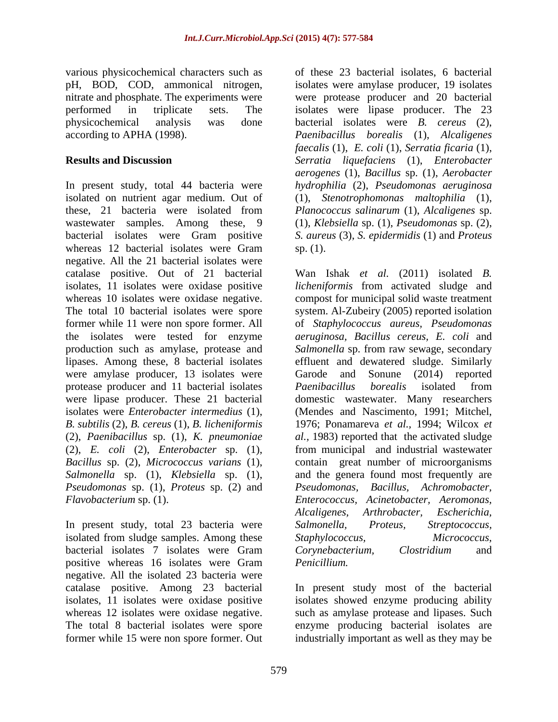various physicochemical characters such as pH, BOD, COD, ammonical nitrogen, nitrate and phosphate. The experiments were were protease producer and 20 bacterial performed in triplicate sets. The isolates were lipase producer. The 23 physicochemical analysis was done bacterial isolates were *B. cereus* (2), according to APHA (1998).

In present study, total 44 bacteria were *hydrophilia* (2), *Pseudomonas aeruginosa* isolated on nutrient agar medium. Out of (1), *Stenotrophomonas maltophilia* (1), these, 21 bacteria were isolated from *Planococcus salinarum* (1), *Alcaligenes* sp. wastewater samples. Among these, 9 (1), *Klebsiella* sp. (1), *Pseudomonas* sp. (2), bacterial isolates were Gram positive whereas 12 bacterial isolates were Gram sp. (1). negative. All the 21 bacterial isolates were catalase positive. Out of 21 bacterial Wan Ishak *et al.* (2011) isolated *B.*  isolates, 11 isolates were oxidase positive *licheniformis* from activated sludge and whereas 10 isolates were oxidase negative. compost for municipal solid waste treatment The total 10 bacterial isolates were spore system. Al-Zubeiry (2005) reported isolation former while 11 were non spore former. All of *Staphylococcus aureus, Pseudomonas* the isolates were tested for enzyme *aeruginosa, Bacillus cereus, E. coli* and production such as amylase, protease and *Salmonella* sp. from raw sewage, secondary lipases. Among these, 8 bacterial isolates effluent and dewatered sludge. Similarly were amylase producer, 13 isolates were Garode and Sonune (2014) reported protease producer and 11 bacterial isolates *Paenibacillus borealis* isolated from were lipase producer. These 21 bacterial domestic wastewater. Many researchers isolates were *Enterobacter intermedius* (1), (Mendes and Nascimento, 1991; Mitchel, *B. subtilis* (2), *B. cereus* (1), *B. licheniformis* 1976; Ponamareva *et al.,* 1994; Wilcox *et*  (2), *Paenibacillus* sp. (1), *K. pneumoniae al.,* 1983) reported that the activated sludge (2), *E. coli* (2), *Enterobacter* sp. (1), from municipal and industrial wastewater *Bacillus* sp. (2), *Micrococcus varians* (1), contain great number of microorganisms *Salmonella* sp. (1), *Klebsiella* sp. (1), and the genera found most frequently are *Pseudomonas* sp. (1), *Proteus* sp. (2) and *Flavobacterium* sp. (1). *Enterococcus, Acinetobacter, Aeromonas,*

In present study, total 23 bacteria were Salmonella, Proteus, Streptococcus, isolated from sludge samples. Among these *Staphylococcus*, *Micrococcus*, bacterial isolates 7 isolates were Gram Corynebacterium, Clostridium and positive whereas 16 isolates were Gram *Penicillium*. negative. All the isolated 23 bacteria were catalase positive. Among 23 bacterial In present study most of the bacterial isolates, 11 isolates were oxidase positive isolates showed enzyme producing ability whereas 12 isolates were oxidase negative. Such as amylase protease and lipases. Such The total 8 bacterial isolates were spore enzyme producing bacterial isolates are former while 15 were non spore former. Out industrially important as well as they may be

**Results and Discussion** *Serratia liquefaciens* (1), *Enterobacter* of these 23 bacterial isolates, 6 bacterial isolates were amylase producer, 19 isolates *Paenibacillus borealis* (1), *Alcaligenes faecalis* (1), *E. coli* (1), *Serratia ficaria* (1), *aerogenes* (1), *Bacillus* sp. (1), *Aerobacter S. aureus* (3), *S. epidermidis* (1) and *Proteus*  $sp. (1)$ .

> Garode and Sonune (2014) reported *Paenibacillus borealis* isolated from *Pseudomonas, Bacillus, Achromobacter, Alcaligenes, Arthrobacter, Escherichia, Salmonella, Proteus, Streptococcus, Staphylococcus, Micrococcus, Corynebacterium, Clostridium* and *Penicillium.*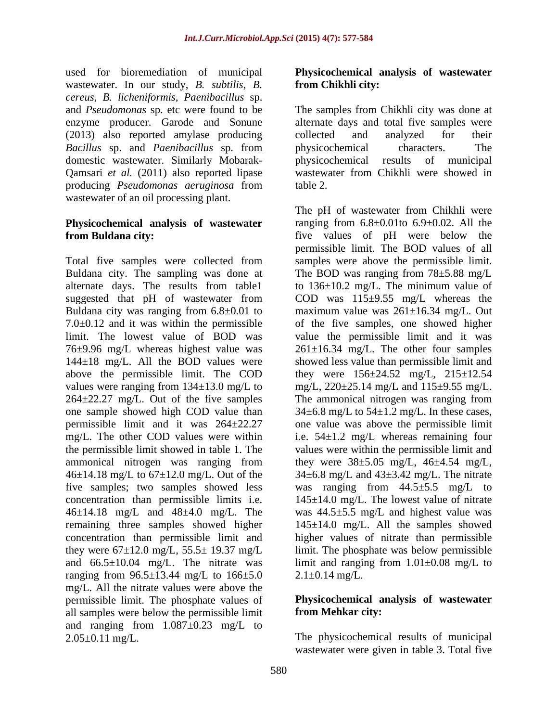used for bioremediation of municipal wastewater. In our study, *B. subtilis*, *B. cereus*, *B. licheniformis, Paenibacillus* sp. (2013) also reported amylase producing *Bacillus* sp. and *Paenibacillus* sp. from domestic wastewater. Similarly Mobarak- Qamsari *et al.* (2011) also reported lipase producing *Pseudomonas aeruginosa* from wastewater of an oil processing plant.

# **Physicochemical analysis of wastewater**

Buldana city. The sampling was done at the permissible limit showed in table 1. The 46±14.18 mg/L and 48±4.0 mg/L. The and 66.5±10.04 mg/L. The nitrate was ranging from  $96.5 \pm 13.44$  mg/L to  $166 \pm 5.0$ mg/L. All the nitrate values were above the permissible limit. The phosphate values of all samples were below the permissible limit and ranging from 1.087±0.23 mg/L to

### **Physicochemical analysis of wastewater from Chikhli city:**

and *Pseudomonas* sp. etc were found to be The samples from Chikhli city was done at enzyme producer. Garode and Sonune alternate days and total five samples were collected and analyzed for their physicochemical characters. The results of municipal wastewater from Chikhli were showed in table 2.

**from Buldana city:** five values of pH were below the Total five samples were collected from samples were above the permissible limit. alternate days. The results from table 1 to  $136\pm10.2$  mg/L. The minimum value of suggested that pH of wastewater from COD was 115±9.55 mg/L whereas the Buldana city was ranging from 6.8±0.01 to maximum value was 261±16.34 mg/L. Out 7.0±0.12 and it was within the permissible of the five samples, one showed higher limit. The lowest value of BOD was value the permissible limit and it was 76±9.96 mg/L whereas highest value was 261±16.34 mg/L. The other four samples 144±18 mg/L. All the BOD values were showed less value than permissible limit and above the permissible limit. The COD they were  $156\pm 24.52$  mg/L,  $215\pm 12.54$ values were ranging from  $134\pm13.0$  mg/L to  $mg/L$ ,  $220\pm25.14$  mg/L and  $115\pm9.55$  mg/L. 264±22.27 mg/L. Out of the five samples The ammonical nitrogen was ranging from one sample showed high COD value than 34±6.8 mg/L to 54±1.2 mg/L. In these cases, permissible limit and it was 264±22.27 one value was above the permissible limit mg/L. The other COD values were within i.e. 54±1.2 mg/L whereas remaining four ammonical nitrogen was ranging from they were 38±5.05 mg/L, 46±4.54 mg/L,  $46\pm14.18$  mg/L to  $67\pm12.0$  mg/L. Out of the  $34\pm6.8$  mg/L and  $43\pm3.42$  mg/L. The nitrate five samples; two samples showed less was ranging from 44.5±5.5 mg/L to concentration than permissible limits i.e.  $145 \pm 14.0$  mg/L. The lowest value of nitrate remaining three samples showed higher  $145\pm14.0$  mg/L. All the samples showed concentration than permissible limit and ligher values of nitrate than permissible they were  $67\pm12.0$  mg/L,  $55.5\pm19.37$  mg/L limit. The phosphate was below permissible The pH of wastewater from Chikhli were ranging from  $6.8 \pm 0.01$  to  $6.9 \pm 0.02$ . All the permissible limit. The BOD values of all The BOD was ranging from 78±5.88 mg/L values were within the permissible limit and was  $44.5 \pm 5.5$  mg/L and highest value was limit and ranging from 1.01±0.08 mg/L to  $2.1 \pm 0.14$  mg/L.

### **Physicochemical analysis of wastewater from Mehkar city:**

2.05±0.11 mg/L. The physicochemical results of municipal wastewater were given in table 3. Total five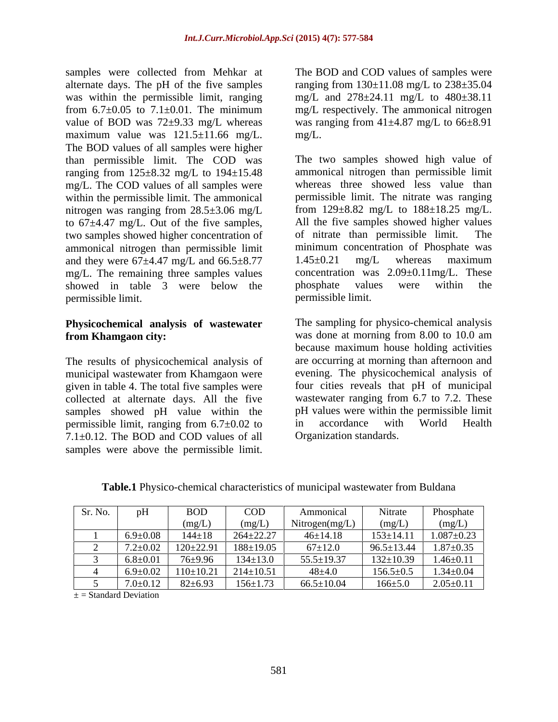samples were collected from Mehkar at The BOD and COD values of samples were alternate days. The pH of the five samples ranging from 130±11.08 mg/L to 238±35.04 was within the permissible limit, ranging mg/L and 278±24.11 mg/L to 480±38.11 from 6.7±0.05 to 7.1±0.01. The minimum mg/L respectively. The ammonical nitrogen value of BOD was 72±9.33 mg/L whereas was ranging from 41±4.87 mg/L to 66±8.91 maximum value was  $121.5 \pm 11.66$  mg/L. mg/L. The BOD values of all samples were higher than permissible limit. The COD was ranging from 125±8.32 mg/L to 194±15.48 mg/L. The COD values of all samples were within the permissible limit. The ammonical nitrogen was ranging from 28.5±3.06 mg/L to  $67\pm4.47$  mg/L. Out of the five samples, two samples showed higher concentration of of nitrate than permissible limit. The ammonical nitrogen than permissible limit and they were  $67\pm4.47$  mg/L and  $66.5\pm8.77$  1.45 $\pm0.21$  mg/L whereas maximum mg/L. The remaining three samples values permissible limit. samples were collected from Mehkar at The BOD and COD values of samples were into the permissible limit. ranging from  $3.21.541$  magning the permissible limit, ranging mg limit. The permissible limit. The samples of BOD w

# **Physicochemical analysis of wastewater**

The results of physicochemical analysis of municipal wastewater from Khamgaon were collected at alternate days. All the five samples showed pH value within the pH values were within the permission<br>nermissible limit ranging from  $6.7+0.02$  to in accordance with World permissible limit, ranging from 6.7±0.02 to in accordance with World Health 7.1±0.12. The BOD and COD values of all

 $mg/L$ .

showed in table 3 were below the phosphate values were within the The two samples showed high value of ammonical nitrogen than permissible limit whereas three showed less value than permissible limit. The nitrate was ranging from  $129 \pm 8.82$  mg/L to  $188 \pm 18.25$  mg/L. All the five samples showed higher values of nitrate than permissible limit. minimum concentration of Phosphate was 1.45±0.21 mg/L whereas maximum concentration was  $2.09\pm0.11$  mg/L. These phosphate values were within the permissible limit.

**from Khamgaon city:** was done at morning from 8.00 to 10.0 am given in table 4. The total five samples were four cities reveals that pH of municipal The sampling for physico-chemical analysis because maximum house holding activities are occurring at morning than afternoon and evening. The physicochemical analysis of wastewater ranging from 6.7 to 7.2. These pH values were within the permissible limit in accordance with World Health Organization standards.

| Sr. No. |                | <b>BOD</b>      | <b>COD</b>      | Ammonical        | Nitrate          | Phosphate        |
|---------|----------------|-----------------|-----------------|------------------|------------------|------------------|
|         |                | (mg/L)          | (mg/L)          | Nitrogen(mg/L)   | (mg/L)           | (mg/L)           |
|         | $6.9 \pm 0.08$ | $144 \pm 18$    | $264 \pm 22.27$ | $46 \pm 14.18$   | $153 \pm 14.11$  | $1.087 \pm 0.23$ |
|         | $7.2 \pm 0.02$ | $120 \pm 22.91$ | $188 \pm 19.05$ | $0.7 + 12.0$     | $96.5 \pm 13.44$ | $1.87 \pm 0.35$  |
|         | $6.8 \pm 0.01$ | 76±9.96         | $134 \pm 13.0$  | $55.5 \pm 19.37$ | $132 \pm 10.39$  | $1.46 \pm 0.11$  |
|         | $6.9 \pm 0.02$ | $110 \pm 10.21$ | $214 \pm 10.51$ | $48 + 4.0$       | $156.5 \pm 0.5$  | $1.34 \pm 0.04$  |
|         | $7.0 \pm 0.12$ | $82 \pm 6.93$   | $156 \pm 1.73$  | $66.5 \pm 10.04$ | $166 \pm 5.0$    | $2.05 \pm 0.11$  |

**Table.1** Physico-chemical characteristics of municipal wastewater from Buldana

 $\pm$  = Standard Deviation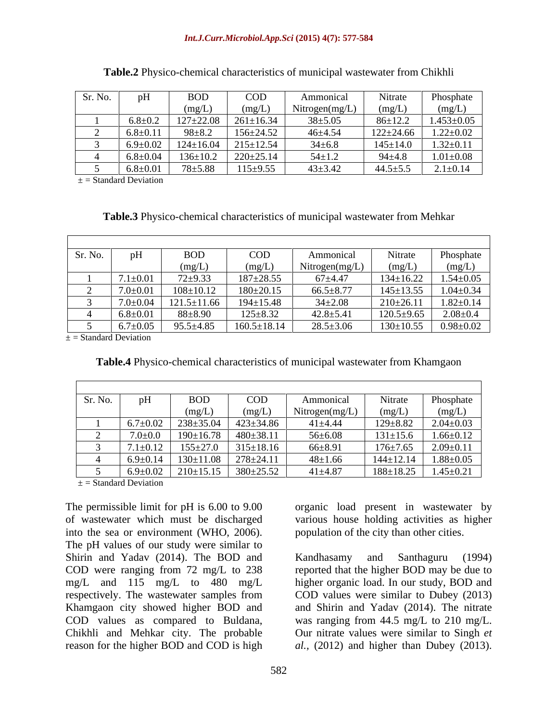| Sr. No. |                | <b>BOD</b>      | <b>COD</b>      | Ammonical      | Nitrate         | Phosphate        |
|---------|----------------|-----------------|-----------------|----------------|-----------------|------------------|
|         |                | (mg/L)          | (mg/L)          | Nitrogen(mg/L) | (mg/L)          | (mg/L)           |
|         | $6.8 \pm 0.2$  | $127 \pm 22.08$ | $261 \pm 16.34$ | $38 + 5.05$    | $86 \pm 12.2$   | $1.453 \pm 0.05$ |
|         | $6.8 \pm 0.11$ | $98 \pm 8.2$    | $156 \pm 24.52$ | $46 + 4.54$    | $122 \pm 24.66$ | $1.22 \pm 0.02$  |
|         | $6.9 \pm 0.02$ | $124 \pm 16.04$ | $215 \pm 12.54$ | $34 \pm 6.8$   | $145 \pm 14.0$  | $1.32 \pm 0.11$  |
|         | $6.8 \pm 0.04$ | $136 \pm 10.2$  | $220 \pm 25.14$ | $54 \pm 1.2$   | $94 \pm 4.8$    | $1.01 + 0.08$    |
|         | $6.8 \pm 0.01$ | $78 + 5.88$     | $115 \pm 9.55$  | $43 \pm 3.42$  | $44.5 \pm 5.5$  | $2.1 \pm 0.14$   |

| Table.2 Physico-o | )-chemical characteristics of municipal wastewater from C | Chikhli |  |
|-------------------|-----------------------------------------------------------|---------|--|
|                   |                                                           |         |  |

 $\pm$  = Standard Deviation

### **Table.3** Physico-chemical characteristics of municipal wastewater from Mehkar

| Sr. No. |                | <b>BOD</b>        | $\rm COD$         | Ammonical       | Nitrate         | Phosphate       |
|---------|----------------|-------------------|-------------------|-----------------|-----------------|-----------------|
|         |                | (mg/L)            | (mg/L)            | Nitrogen(mg/L)  | (mg/L)          | (mg/L)          |
|         | $7.1 \pm 0.01$ | $72 + 9.33$       | $187 \pm 28.55$   | $67 + 4.47$     | $134 \pm 16.22$ | $1.54 \pm 0.05$ |
|         | $7.0 \pm 0.01$ | $108 \pm 10.12$   | $180 \pm 20.15$   | $66.5 \pm 8.77$ | $145 \pm 13.55$ | $1.04 \pm 0.34$ |
|         | $7.0 \pm 0.04$ | $121.5 \pm 11.66$ | $194 \pm 15.48$   | $34 + 2.08$     | $210\pm 26.11$  | $1.82 \pm 0.14$ |
|         | $6.8 \pm 0.01$ | $88 + 8.90$       | $125 \pm 8.32$    | $42.8 \pm 5.41$ | $120.5+9.65$    | $2.08 \pm 0.4$  |
|         | $6.7 \pm 0.05$ | $95.5 \pm 4.85$   | $160.5 \pm 18.14$ | $28.5 \pm 3.06$ | $130 \pm 10.55$ | $0.98 \pm 0.02$ |

 $\pm$  = Standard Deviation

**Table.4** Physico-chemical characteristics of municipal wastewater from Khamgaon

| Sr. No. |                | <b>BOD</b>      | $_{\rm COD}$    | Ammonica       | Nitrate         | Phosphate       |
|---------|----------------|-----------------|-----------------|----------------|-----------------|-----------------|
|         |                | (mg/L)          | (mg/L)          | Nitrogen(mg/L) | (mg/L)          | (mg/L)          |
|         | $6.7 \pm 0.02$ | $238 \pm 35.04$ | $423 \pm 34.86$ | $41 \pm 4.44$  | $129 \pm 8.82$  | $2.04 \pm 0.03$ |
|         | $7.0 \pm 0.0$  | $190 \pm 16.78$ | $480 \pm 38.11$ | $56 \pm 6.08$  | $131 \pm 15.6$  | $1.66 \pm 0.12$ |
|         | $7.1 \pm 0.12$ | $155 \pm 27.0$  | $315 \pm 18.16$ | $66 \pm 8.91$  | $176 \pm 7.65$  | $2.09 \pm 0.11$ |
|         | $6.9 \pm 0.14$ | $130 \pm 11.08$ | $278 \pm 24.11$ | $48 \pm 1.66$  | $144 \pm 12.14$ | $1.88 \pm 0.05$ |
|         | $6.9 \pm 0.02$ | $210 \pm 15.15$ | $380 \pm 25.52$ | $41 + 4.87$    | $188 \pm 18.25$ | $1.45 \pm 0.21$ |

 $\pm$  = Standard Deviation

The permissible limit for pH is 6.00 to 9.00 organic load present in wastewater by of wastewater which must be discharged various house holding activities as higher into the sea or environment (WHO, 2006). The pH values of our study were similar to Shirin and Yadav (2014). The BOD and Kandhasamy and Santhaguru (1994) COD were ranging from 72 mg/L to 238 reported that the higher BOD may be due to mg/L and 115 mg/L to 480 mg/L higher organic load. In our study, BOD and respectively. The wastewater samples from COD values were similar to Dubey (2013) Khamgaon city showed higher BOD and and Shirin and Yadav (2014). The nitrate COD values as compared to Buldana, was ranging from 44.5 mg/L to 210 mg/L. Chikhli and Mehkar city. The probable Our nitrate values were similar to Singh *et* 

population of the city than other cities.

reason for the higher BOD and COD is high al., (2012) and higher than Dubey (2013). Kandhasamy and Santhaguru (1994)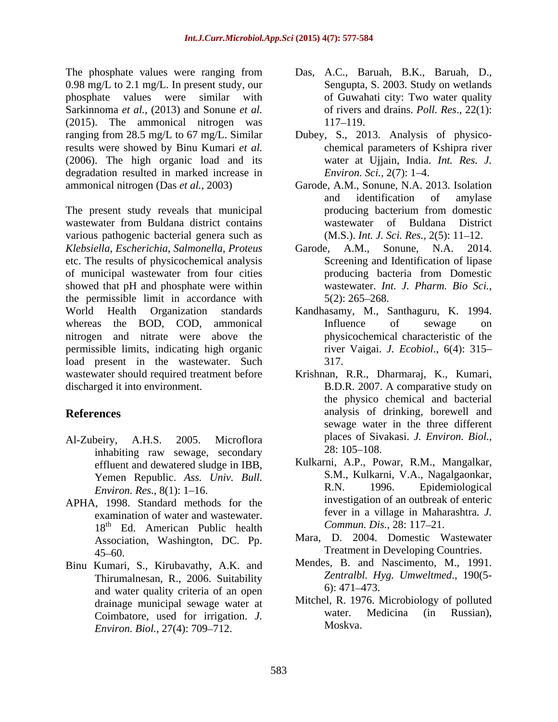The phosphate values were ranging from Das, A.C., Baruah, B.K., Baruah, D., 0.98 mg/L to 2.1 mg/L. In present study, our phosphate values were similar with of Guwahati city: Two water quality Sarkinnoma *et al.,* (2013) and Sonune *et al.* (2015). The ammonical nitrogen was ranging from 28.5 mg/L to 67 mg/L. Similar Dubey, S., 2013. Analysis of physico results were showed by Binu Kumari *et al.* (2006). The high organic load and its degradation resulted in marked increase in *Environ Sci.* 2(7): 1–4.

The present study reveals that municipal producing bacterium from domestic wastewater from Buldana district contains wastewater of Buldana District various pathogenic bacterial genera such as *Klebsiella*, *Escherichia*, *Salmonella*, *Proteus* etc. The results of physicochemical analysis of municipal wastewater from four cities showed that pH and phosphate were within the permissible limit in accordance with  $5(2)$ : 265–268. World Health Organization standards Kandhasamy, M., Santhaguru, K. 1994. whereas the BOD, COD, ammonical a limitude of sewage on nitrogen and nitrate were above the permissible limits, indicating high organic load present in the wastewater. Such 317. wastewater should required treatment before Krishnan, R.R., Dharmaraj, K., Kumari, discharged it into environment. B.D.R. 2007. A comparative study on

- inhabiting raw sewage, secondary  $28:105-108$ . effluent and dewatered sludge in IBB,
- APHA, 1998. Standard methods for the examination of water and wastewater. The state is a village in Maha<br>18<sup>th</sup> Ed. American Public health *Commun, Dis.*, 28: 117–21. 18<sup>th</sup> Ed. American Public health Association, Washington, DC. Pp. 45–60. Treatment in Developing Countries.
- Binu Kumari, S., Kirubavathy, A.K. and Thirumalnesan, R., 2006. Suitability *Zentralbl. H*<br>and water quality criteria of an open 6): 471–473. and water quality criteria of an open Coimbatore, used for irrigation. *J. Environ. Biol., 27(4): 709-712.*
- Sengupta, S. 2003. Study on wetlands of rivers and drains. *Poll. Res*., 22(1): 117–119.
- chemical parameters of Kshipra river water at Ujjain, India. *Int. Res. J. Environ. Sci.,* 2(7): 1–4.
- ammonical nitrogen (Das *et al.,* 2003) Garode, A.M., Sonune, N.A. 2013. Isolation and identification of amylase producing bacterium from domestic wastewater of Buldana (M.S.). *Int. J. Sci. Res.*, 2(5): 11–12.
	- Garode, A.M., Sonune, N.A. Screening and Identification of lipase producing bacteria from Domestic wastewater. *Int. J. Pharm. Bio Sci.,*  $5(2)$ : 265–268.
	- Influence of sewage on physicochemical characteristic of the river Vaigai. *J. Ecobiol*., 6(4): 315 317.
- **References** analysis of drinking, borewell and Al-Zubeiry, A.H.S. 2005. Microflora places of Sivakasi. J. Environ. Biol., the physico chemical and bacterial sewage water in the three different places of Sivakasi. *J. Environ. Biol.,*  $28: 105 - 108.$ 
	- Yemen Republic. *Ass. Univ. Bull.* S.M., Kulkarni, V.A., Nagalgaonkar,<br>Fuviron Res. 8(1): 1–16<br>R.N. 1996. Epidemiological *Environ. Res.*, 8(1): 1–16. **Res. Environ.** R.N. **Example 1996. Epidemiological** Kulkarni, A.P., Powar, R.M., Mangalkar, S.M., Kulkarni, V.A., Nagalgaonkar, R.N. 1996. Epidemiological investigation of an outbreak of enteric fever in a village in Maharashtra*. J. Commun. Dis.,* 28: 117–21.
		- Mara, D. 2004. Domestic Wastewater Treatment in Developing Countries.
		- Mendes, B. and Nascimento, M., 1991. *Zentralbl. Hyg. Umweltmed*., 190(5-  $6)$ : 471–473.
	- drainage municipal sewage water at Mitchel, R. 1976. Microbiology of polluted<br>Coimbatore, used for irrigation *I* water. Medicina (in Russian), Mitchel, R. 1976. Microbiology of polluted water. Medicina (in Russian), Moskva.